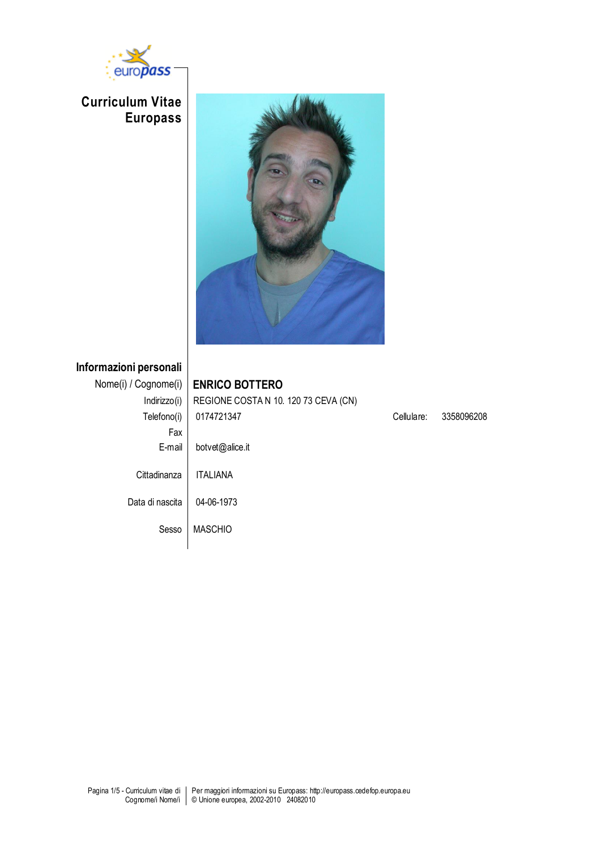

**Curriculum Vitae Europass**



**Informazioni personali**

| Nome(i) / Cognome(i) | <b>ENRICO BOTTERO</b>                |            |            |
|----------------------|--------------------------------------|------------|------------|
| Indirizzo(i)         | REGIONE COSTA N 10. 120 73 CEVA (CN) |            |            |
| Telefono(i)          | 0174721347                           | Cellulare: | 3358096208 |
| Fax                  |                                      |            |            |
| E-mail               | botvet@alice.it                      |            |            |
| Cittadinanza         | <b>ITALIANA</b>                      |            |            |
| Data di nascita      | 04-06-1973                           |            |            |
| Sesso                | <b>MASCHIO</b>                       |            |            |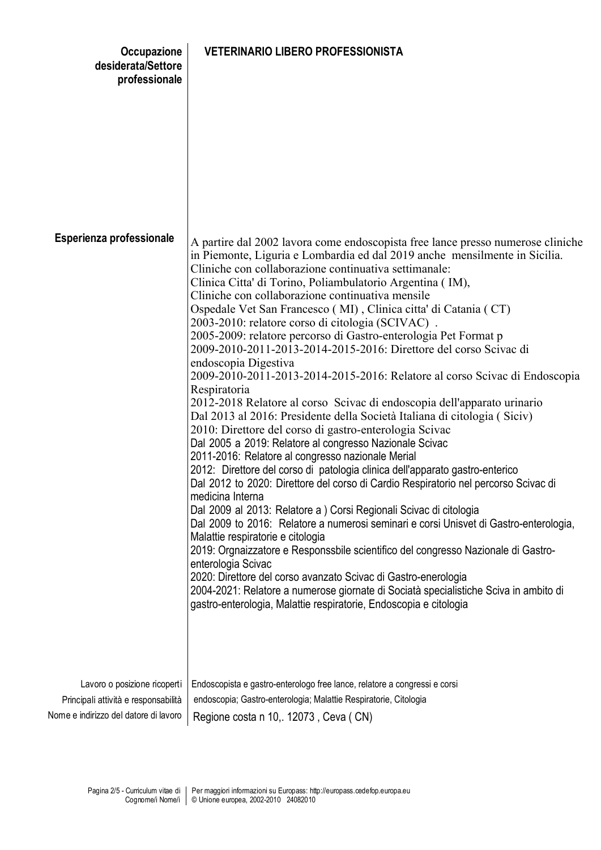| Occupazione<br>desiderata/Settore<br>professionale                                                            | <b>VETERINARIO LIBERO PROFESSIONISTA</b>                                                                                                                                                                                                                                                                                                                                                                                                                                                                                                                                                                                                                                                                                                                                                                                                                                                                                                                                                                                                                                                                                                                                                                                                                                                                                                                                                                                                                                                                                                                                                                                                                                                                                                                                                               |
|---------------------------------------------------------------------------------------------------------------|--------------------------------------------------------------------------------------------------------------------------------------------------------------------------------------------------------------------------------------------------------------------------------------------------------------------------------------------------------------------------------------------------------------------------------------------------------------------------------------------------------------------------------------------------------------------------------------------------------------------------------------------------------------------------------------------------------------------------------------------------------------------------------------------------------------------------------------------------------------------------------------------------------------------------------------------------------------------------------------------------------------------------------------------------------------------------------------------------------------------------------------------------------------------------------------------------------------------------------------------------------------------------------------------------------------------------------------------------------------------------------------------------------------------------------------------------------------------------------------------------------------------------------------------------------------------------------------------------------------------------------------------------------------------------------------------------------------------------------------------------------------------------------------------------------|
|                                                                                                               |                                                                                                                                                                                                                                                                                                                                                                                                                                                                                                                                                                                                                                                                                                                                                                                                                                                                                                                                                                                                                                                                                                                                                                                                                                                                                                                                                                                                                                                                                                                                                                                                                                                                                                                                                                                                        |
| Esperienza professionale                                                                                      | A partire dal 2002 lavora come endoscopista free lance presso numerose cliniche<br>in Piemonte, Liguria e Lombardia ed dal 2019 anche mensilmente in Sicilia.<br>Cliniche con collaborazione continuativa settimanale:<br>Clinica Citta' di Torino, Poliambulatorio Argentina (IM),<br>Cliniche con collaborazione continuativa mensile<br>Ospedale Vet San Francesco (MI), Clinica citta' di Catania (CT)<br>2003-2010: relatore corso di citologia (SCIVAC).<br>2005-2009: relatore percorso di Gastro-enterologia Pet Format p<br>2009-2010-2011-2013-2014-2015-2016: Direttore del corso Scivac di<br>endoscopia Digestiva<br>2009-2010-2011-2013-2014-2015-2016: Relatore al corso Scivac di Endoscopia<br>Respiratoria<br>2012-2018 Relatore al corso Scivac di endoscopia dell'apparato urinario<br>Dal 2013 al 2016: Presidente della Società Italiana di citologia (Siciv)<br>2010: Direttore del corso di gastro-enterologia Scivac<br>Dal 2005 a 2019: Relatore al congresso Nazionale Scivac<br>2011-2016: Relatore al congresso nazionale Merial<br>2012: Direttore del corso di patologia clinica dell'apparato gastro-enterico<br>Dal 2012 to 2020: Direttore del corso di Cardio Respiratorio nel percorso Scivac di<br>medicina Interna<br>Dal 2009 al 2013: Relatore a ) Corsi Regionali Scivac di citologia<br>Dal 2009 to 2016: Relatore a numerosi seminari e corsi Unisvet di Gastro-enterologia,<br>Malattie respiratorie e citologia<br>2019: Orgnaizzatore e Responssbile scientifico del congresso Nazionale di Gastro-<br>enterologia Scivac<br>2020: Direttore del corso avanzato Scivac di Gastro-enerologia<br>2004-2021: Relatore a numerose giornate di Sociatà specialistiche Sciva in ambito di<br>gastro-enterologia, Malattie respiratorie, Endoscopia e citologia |
| Lavoro o posizione ricoperti<br>Principali attività e responsabilità<br>Nome e indirizzo del datore di lavoro | Endoscopista e gastro-enterologo free lance, relatore a congressi e corsi<br>endoscopia; Gastro-enterologia; Malattie Respiratorie, Citologia<br>Regione costa n 10, 12073, Ceva (CN)                                                                                                                                                                                                                                                                                                                                                                                                                                                                                                                                                                                                                                                                                                                                                                                                                                                                                                                                                                                                                                                                                                                                                                                                                                                                                                                                                                                                                                                                                                                                                                                                                  |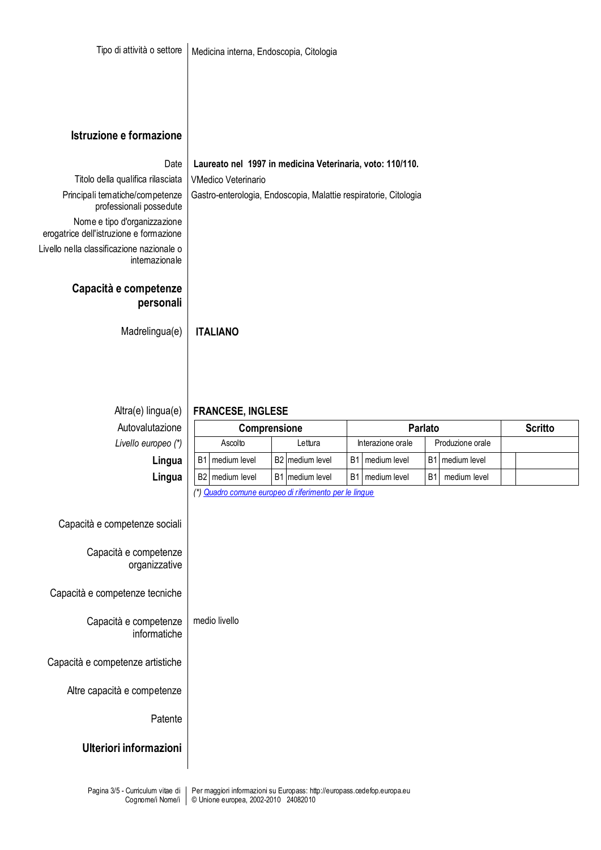| Istruzione e formazione                                                                                                                                                                                                                           |                                                                                                                                                             |  |                         |                |                   |           |                  |  |                |  |  |
|---------------------------------------------------------------------------------------------------------------------------------------------------------------------------------------------------------------------------------------------------|-------------------------------------------------------------------------------------------------------------------------------------------------------------|--|-------------------------|----------------|-------------------|-----------|------------------|--|----------------|--|--|
| Date<br>Titolo della qualifica rilasciata<br>Principali tematiche/competenze<br>professionali possedute<br>Nome e tipo d'organizzazione<br>erogatrice dell'istruzione e formazione<br>Livello nella classificazione nazionale o<br>internazionale | Laureato nel 1997 in medicina Veterinaria, voto: 110/110.<br><b>VMedico Veterinario</b><br>Gastro-enterologia, Endoscopia, Malattie respiratorie, Citologia |  |                         |                |                   |           |                  |  |                |  |  |
| Capacità e competenze<br>personali                                                                                                                                                                                                                |                                                                                                                                                             |  |                         |                |                   |           |                  |  |                |  |  |
| Madrelingua(e)                                                                                                                                                                                                                                    | <b>ITALIANO</b>                                                                                                                                             |  |                         |                |                   |           |                  |  |                |  |  |
| Altra(e) lingua(e)<br>Autovalutazione                                                                                                                                                                                                             | <b>FRANCESE, INGLESE</b><br>Comprensione                                                                                                                    |  |                         |                |                   | Parlato   |                  |  | <b>Scritto</b> |  |  |
| Livello europeo (*)                                                                                                                                                                                                                               | Ascolto                                                                                                                                                     |  | Lettura                 |                | Interazione orale |           | Produzione orale |  |                |  |  |
| Lingua                                                                                                                                                                                                                                            | B <sub>1</sub><br>medium level                                                                                                                              |  | B2 medium level         | B <sub>1</sub> | medium level      | <b>B1</b> | medium level     |  |                |  |  |
| Lingua                                                                                                                                                                                                                                            | B <sub>2</sub><br>medium level                                                                                                                              |  | <b>B1</b> Imedium level | B <sub>1</sub> | medium level      | <b>B1</b> | medium level     |  |                |  |  |
| Capacità e competenze sociali<br>Capacità e competenze<br>organizzative<br>Capacità e competenze tecniche<br>Capacità e competenze                                                                                                                | (*) Quadro comune europeo di riferimento per le lingue<br>medio livello                                                                                     |  |                         |                |                   |           |                  |  |                |  |  |
| informatiche<br>Capacità e competenze artistiche                                                                                                                                                                                                  |                                                                                                                                                             |  |                         |                |                   |           |                  |  |                |  |  |

Altre capacità e competenze

Patente

**Ulteriori informazioni**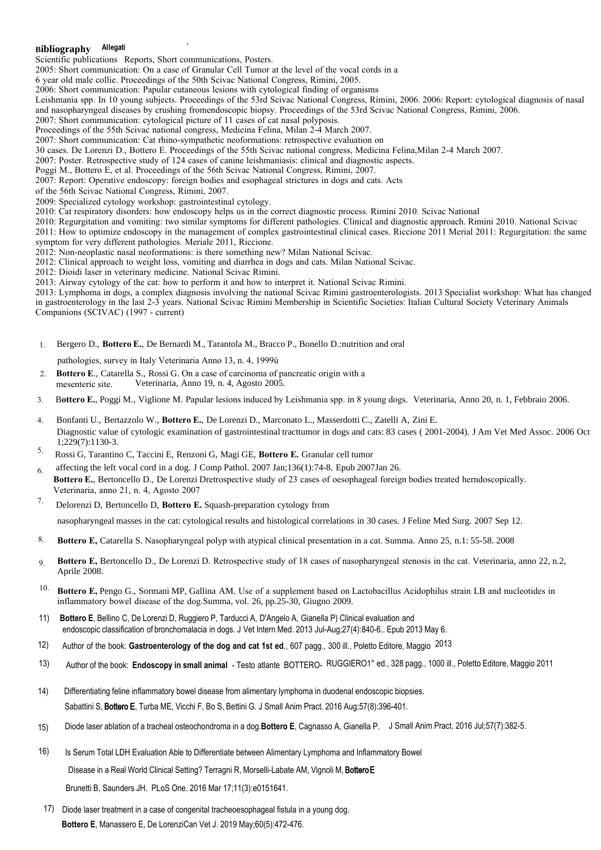## **B Allegati ibliography**

Scientific publications Reports, Short communications, Posters.

2005: Short communication: On a case of Granular Cell Tumor at the level of the vocal cords in a

6 year old male collie. Proceedings of the 50th Scivac National Congress, Rimini, 2005.

2006: Short communication: Papular cutaneous lesions with cytological finding of organisms

Leishmania spp. In 10 young subjects. Proceedings of the 53rd Scivac National Congress, Rimini, 2006. 2006: Report: cytological diagnosis of nasal and nasopharyngeal diseases by crushing fromendoscopic biopsy. Proceedings of the 53rd Scivac National Congress, Rimini, 2006.

2007: Short communication: cytological picture of 11 cases of cat nasal polyposis.

Proceedings of the 55th Scivac national congress, Medicina Felina, Milan 2-4 March 2007.

2007: Short communication: Cat rhino-sympathetic neoformations: retrospective evaluation on

30 cases. De Lorenzi D., Bottero E. Proceedings of the 55th Scivac national congress, Medicina Felina,Milan 2-4 March 2007.

2007: Poster. Retrospective study of 124 cases of canine leishmaniasis: clinical and diagnostic aspects.

Poggi M., Bottero E, et al. Proceedings of the 56th Scivac National Congress, Rimini, 2007.

2007: Report: Operative endoscopy: foreign bodies and esophageal strictures in dogs and cats. Acts

of the 56th Scivac National Congress, Rimini, 2007.

2009: Specialized cytology workshop: gastrointestinal cytology.

2010: Cat respiratory disorders: how endoscopy helps us in the correct diagnostic process. Rimini 2010. Scivac National

2010: Regurgitation and vomiting: two similar symptoms for different pathologies. Clinical and diagnostic approach. Rimini 2010. National Scivac 2011: How to optimize endoscopy in the management of complex gastrointestinal clinical cases. Riccione 2011 Merial 2011: Regurgitation: the same symptom for very different pathologies. Meriale 2011, Riccione.

2012: Non-neoplastic nasal neoformations: is there something new? Milan National Scivac.

2012: Clinical approach to weight loss, vomiting and diarrhea in dogs and cats. Milan National Scivac.

2012: Dioidi laser in veterinary medicine. National Scivac Rimini.

2013: Airway cytology of the cat: how to perform it and how to interpret it. National Scivac Rimini.

2013: Lymphoma in dogs, a complex diagnosis involving the national Scivac Rimini gastroenterologists. 2013 Specialist workshop: What has changed in gastroenterology in the last 2-3 years. National Scivac Rimini Membership in Scientific Societies: Italian Cultural Society Veterinary Animals Companions (SCIVAC) (1997 - current)

1. Bergero D., **Bottero E.**, De Bernardi M., Tarantola M., Bracco P., Bonello D.:nutrition and oral

pathologies, survey in Italy Veterinaria Anno 13, n. 4, 1999ù

- 2. **Bottero E**., Catarella S., Rossi G. On a case of carcinoma of pancreatic origin with a mesenteric site. Veterinaria, Anno 19, n. 4, Agosto 2005.
- 3. B**ottero E.**, Poggi M., Viglione M. Papular lesions induced by Leishmania spp. in 8 young dogs. Veterinaria, Anno 20, n. 1, Febbraio 2006.
- 4. Bonfanti U., Bertazzolo W., **Bottero E.**, De Lorenzi D., Marconato L., Masserdotti C., Zatelli A, Zini E. Diagnostic value of cytologic examination of gastrointestinal tracttumor in dogs and cats: 83 cases ( 2001-2004). J Am Vet Med Assoc. 2006 Oct 1;229(7):1130-3.
- 5. Rossi G, Tarantino C, Taccini E, Renzoni G, Magi GE, **Bottero E.** Granular cell tumor

6. affecting the left vocal cord in a dog. J Comp Pathol. 2007 Jan;136(1):74-8. Epub 2007Jan 26. **Bottero E.**, Bertoncello D., De Lorenzi Dretrospective study of 23 cases of oesophageal foreign bodies treated herndoscopically. Veterinaria, anno 21, n. 4, Agosto 2007

- 7. Delorenzi D, Bertoncello D, **Bottero E.** Squash-preparation cytology from nasopharyngeal masses in the cat: cytological results and histological correlations in 30 cases. J Feline Med Surg. 2007 Sep 12.
- **Bottero E,** Catarella S. Nasopharyngeal polyp with atypical clinical presentation in a cat. Summa. Anno 25, n.1: 55-58. 2008 8.
- **Bottero E,** Bertoncello D., De Lorenzi D. Retrospective study of 18 cases of nasopharyngeal stenosis in the cat. Veterinaria, anno 22, n.2, Aprile 2008. 9.
- **Bottero E,** Pengo G., Sormani MP, Gallina AM. Use of a supplement based on Lactobacillus Acidophilus strain LB and nucleotides in inflammatory bowel disease of the dog.Summa, vol. 26, pp.25-30, Giugno 2009. 10.
- 11) **Bottero E**, Bellino C, De Lorenzi D, Ruggiero P, Tarducci A, D'Angelo A, Gianella P) Clinical evaluation and endoscopic classification of bronchomalacia in dogs. J Vet Intern Med. 2013 Jul-Aug;27(4):840-6.. Epub 2013 May 6.
- 12) Author of the book: **Gastroenterology of the dog and cat 1st ed**., 607 pagg., 300 ill., Poletto Editore, Maggio 2013
- 13) Author of the book: **Endoscopy in small animal**  Testo atlante BOTTERO- RUGGIERO1° ed., 328 pagg., 1000 ill., Poletto Editore, Maggio 2011
- Differentiating feline inflammatory bowel disease from alimentary lymphoma in duodenal endoscopic biopsies. Sabattini S, Bottero E, Turba ME, Vicchi F, Bo S, Bettini G. J Small Anim Pract. 2016 Aug;57(8):396-401. 14)
- 15) Diode laser ablation of a tracheal osteochondroma in a dog. Bottero E, Cagnasso A, Gianella P. J Small Anim Pract. 2016 Jul;57(7):382-5.
- 16) Is Serum Total LDH Evaluation Able to Differentiate between Alimentary Lymphoma and Inflammatory Bowel

Disease in a Real World Clinical Setting? Terragni R, Morselli-Labate AM, Vignoli M, Bottero E

Brunetti B, Saunders JH. PLoS One. 2016 Mar 17;11(3):e0151641.

17) Diode laser treatment in a case of congenital tracheoesophageal fistula in a young dog. **Bottero E**, Manassero E, De LorenziCan Vet J. 2019 May;60(5):472-476.